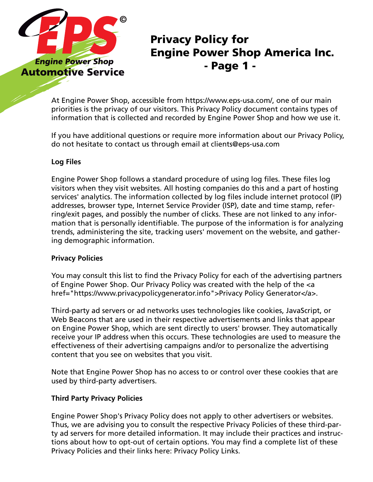

## Privacy Policy for Engine Power Shop America Inc. - Page 1 -

At Engine Power Shop, accessible from https://www.eps-usa.com/, one of our main priorities is the privacy of our visitors. This Privacy Policy document contains types of information that is collected and recorded by Engine Power Shop and how we use it.

If you have additional questions or require more information about our Privacy Policy, do not hesitate to contact us through email at clients@eps-usa.com

### **Log Files**

Engine Power Shop follows a standard procedure of using log files. These files log visitors when they visit websites. All hosting companies do this and a part of hosting services' analytics. The information collected by log files include internet protocol (IP) addresses, browser type, Internet Service Provider (ISP), date and time stamp, referring/exit pages, and possibly the number of clicks. These are not linked to any information that is personally identifiable. The purpose of the information is for analyzing trends, administering the site, tracking users' movement on the website, and gathering demographic information.

### **Privacy Policies**

You may consult this list to find the Privacy Policy for each of the advertising partners of Engine Power Shop. Our Privacy Policy was created with the help of the <a href="https://www.privacypolicygenerator.info">Privacy Policy Generator</a>.

Third-party ad servers or ad networks uses technologies like cookies, JavaScript, or Web Beacons that are used in their respective advertisements and links that appear on Engine Power Shop, which are sent directly to users' browser. They automatically receive your IP address when this occurs. These technologies are used to measure the effectiveness of their advertising campaigns and/or to personalize the advertising content that you see on websites that you visit.

Note that Engine Power Shop has no access to or control over these cookies that are used by third-party advertisers.

### **Third Party Privacy Policies**

Engine Power Shop's Privacy Policy does not apply to other advertisers or websites. Thus, we are advising you to consult the respective Privacy Policies of these third-party ad servers for more detailed information. It may include their practices and instructions about how to opt-out of certain options. You may find a complete list of these Privacy Policies and their links here: Privacy Policy Links.